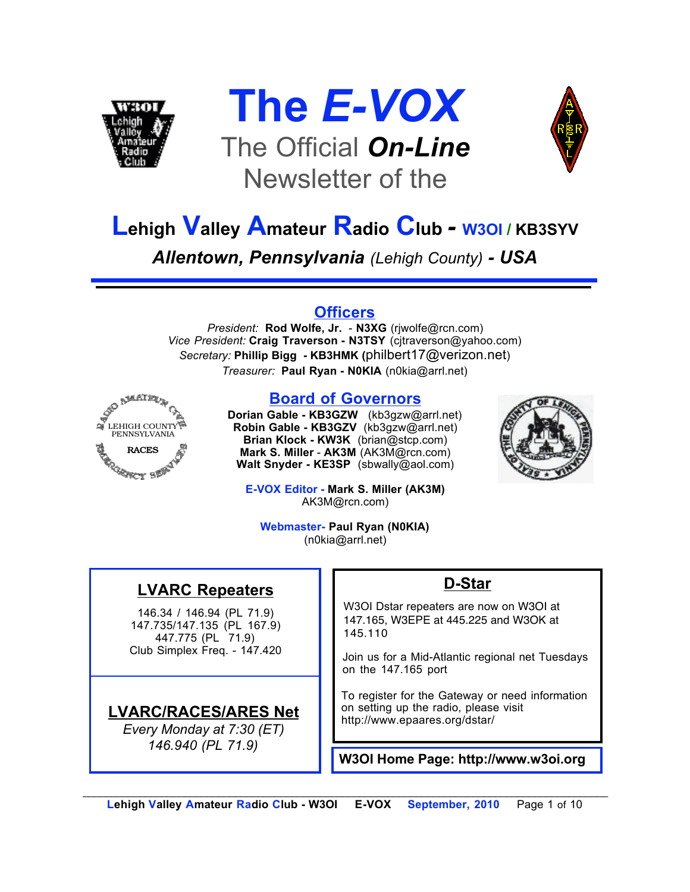





# **Lehigh Valley Amateur Radio Club** *-* **W3OI / KB3SYV**

*Allentown, Pennsylvania (Lehigh County) - USA*

#### **Officers**

*President:* **Rod Wolfe, Jr.** - **N3XG** (rjwolfe@rcn.com) *Vice President:* **Craig Traverson - N3TSY** (cjtraverson@yahoo.com) *Secretary:* **Phillip Bigg - KB3HMK (**philbert17@verizon.net) *Treasurer:* **Paul Ryan - N0KIA** (n0kia@arrl.net)



#### **Board of Governors**

**Dorian Gable - KB3GZW** (kb3gzw@arrl.net) **Robin Gable - KB3GZV** (kb3gzw@arrl.net) **Brian Klock - KW3K** (brian@stcp.com) **Mark S. Miller** - **AK3M** (AK3M@rcn.com) **Walt Snyder - KE3SP** (sbwally@aol.com)



**E-VOX Editor - Mark S. Miller (AK3M)** AK3M@rcn.com)

**Webmaster- Paul Ryan (N0KIA)** (n0kia@arrl.net)

#### **LVARC Repeaters**

146.34 / 146.94 (PL 71.9) 147.735/147.135 (PL 167.9) 447.775 (PL 71.9) Club Simplex Freq. - 147.420

#### **LVARC/RACES/ARES Net**

*Every Monday at 7:30 (ET) 146.940 (PL 71.9)*

#### **D-Star**

W3OI Dstar repeaters are now on W3OI at 147.165, W3EPE at 445.225 and W3OK at 145.110

Join us for a Mid-Atlantic regional net Tuesdays on the 147.165 port

To register for the Gateway or need information on setting up the radio, please visit http://www.epaares.org/dstar/

**W3OI Home Page: http://www.w3oi.org**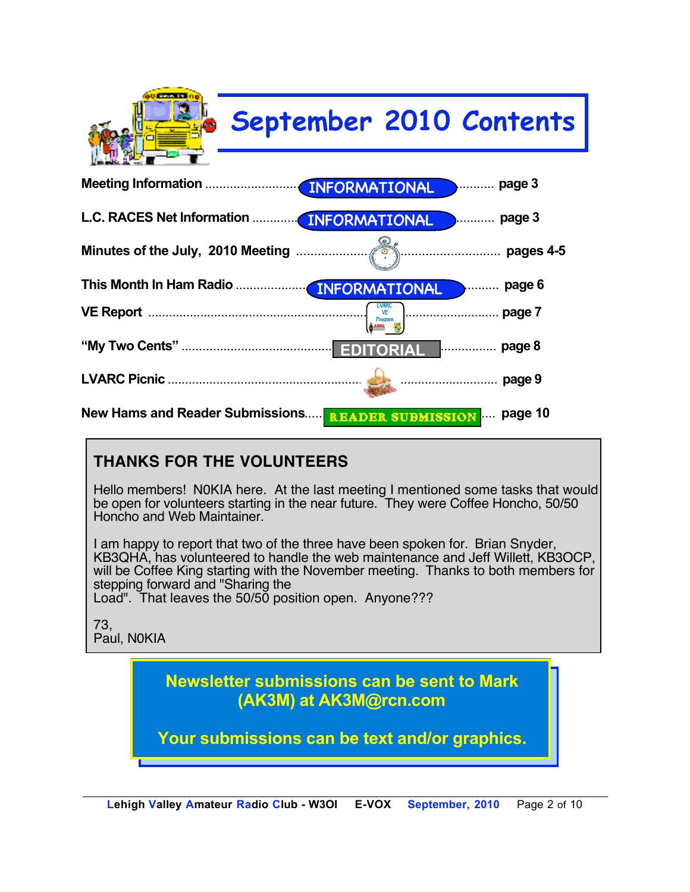

### **THANKS FOR THE VOLUNTEERS**

Hello members! N0KIA here. At the last meeting I mentioned some tasks that would be open for volunteers starting in the near future. They were Coffee Honcho, 50/50 Honcho and Web Maintainer.

I am happy to report that two of the three have been spoken for. Brian Snyder, KB3QHA, has volunteered to handle the web maintenance and Jeff Willett, KB3OCP, will be Coffee King starting with the November meeting. Thanks to both members for stepping forward and "Sharing the

Load". That leaves the 50/50 position open. Anyone???

73, Paul, N0KIA

> **Newsletter submissions can be sent to Mark (AK3M) at AK3M@rcn.com**

**Your submissions can be text and/or graphics.**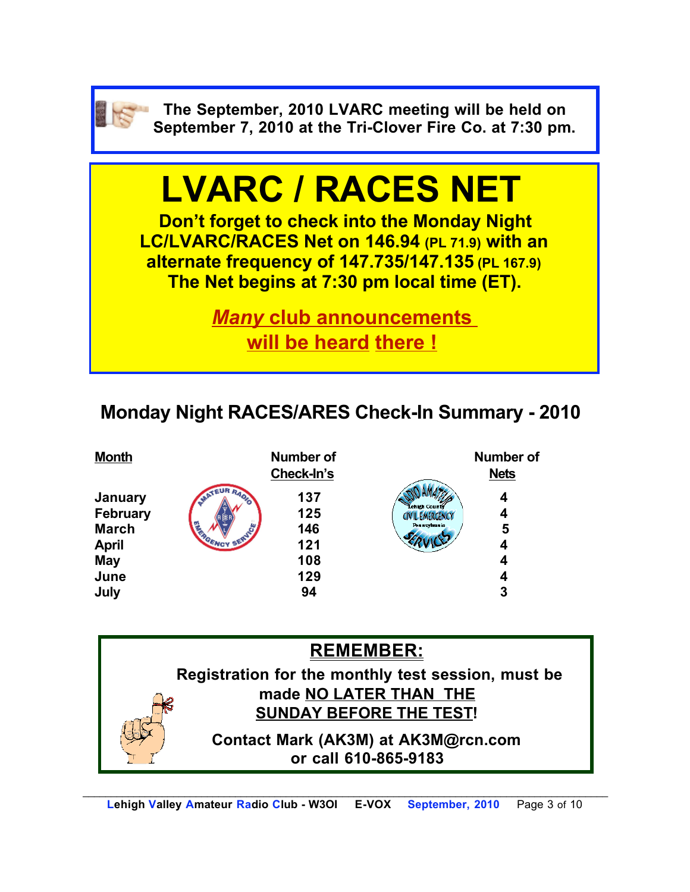

**The September, 2010 LVARC meeting will be held on September 7, 2010 at the Tri-Clover Fire Co. at 7:30 pm.**

# **LVARC / RACES NET**

**Don't forget to check into the Monday Night LC/LVARC/RACES Net on 146.94 (PL 71.9) with an alternate frequency of 147.735/147.135 (PL 167.9) The Net begins at 7:30 pm local time (ET).** 

> *Many* **club announcements will be heard there !**

# **Monday Night RACES/ARES Check-In Summary - 2010**



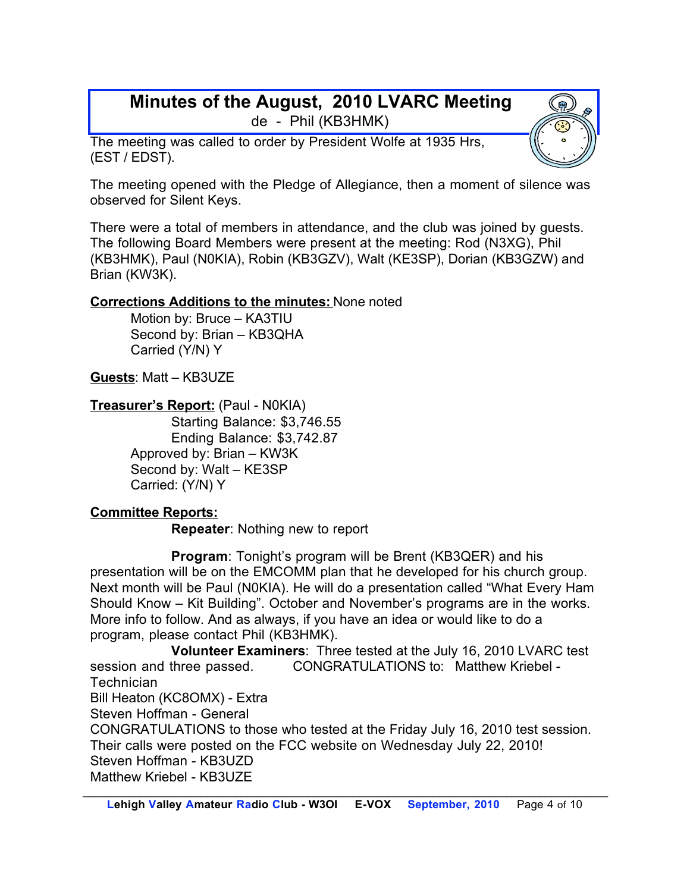#### **Minutes of the August, 2010 LVARC Meeting** de - Phil (KB3HMK)

The meeting was called to order by President Wolfe at 1935 Hrs, (EST / EDST).

The meeting opened with the Pledge of Allegiance, then a moment of silence was observed for Silent Keys.

There were a total of members in attendance, and the club was joined by guests. The following Board Members were present at the meeting: Rod (N3XG), Phil (KB3HMK), Paul (N0KIA), Robin (KB3GZV), Walt (KE3SP), Dorian (KB3GZW) and Brian (KW3K).

#### **Corrections Additions to the minutes:** None noted

Motion by: Bruce – KA3TIU Second by: Brian – KB3QHA Carried (Y/N) Y

**Guests**: Matt – KB3UZE

**Treasurer's Report:** (Paul - N0KIA)

Starting Balance: \$3,746.55 Ending Balance: \$3,742.87 Approved by: Brian – KW3K Second by: Walt – KE3SP Carried: (Y/N) Y

#### **Committee Reports:**

**Repeater**: Nothing new to report

**Program**: Tonight's program will be Brent (KB3QER) and his presentation will be on the EMCOMM plan that he developed for his church group. Next month will be Paul (N0KIA). He will do a presentation called "What Every Ham Should Know – Kit Building". October and November's programs are in the works. More info to follow. And as always, if you have an idea or would like to do a program, please contact Phil (KB3HMK).

**Volunteer Examiners**: Three tested at the July 16, 2010 LVARC test session and three passed. CONGRATULATIONS to: Matthew Kriebel - **Technician** Bill Heaton (KC8OMX) - Extra Steven Hoffman - General CONGRATULATIONS to those who tested at the Friday July 16, 2010 test session. Their calls were posted on the FCC website on Wednesday July 22, 2010!

Steven Hoffman - KB3UZD

Matthew Kriebel - KB3UZE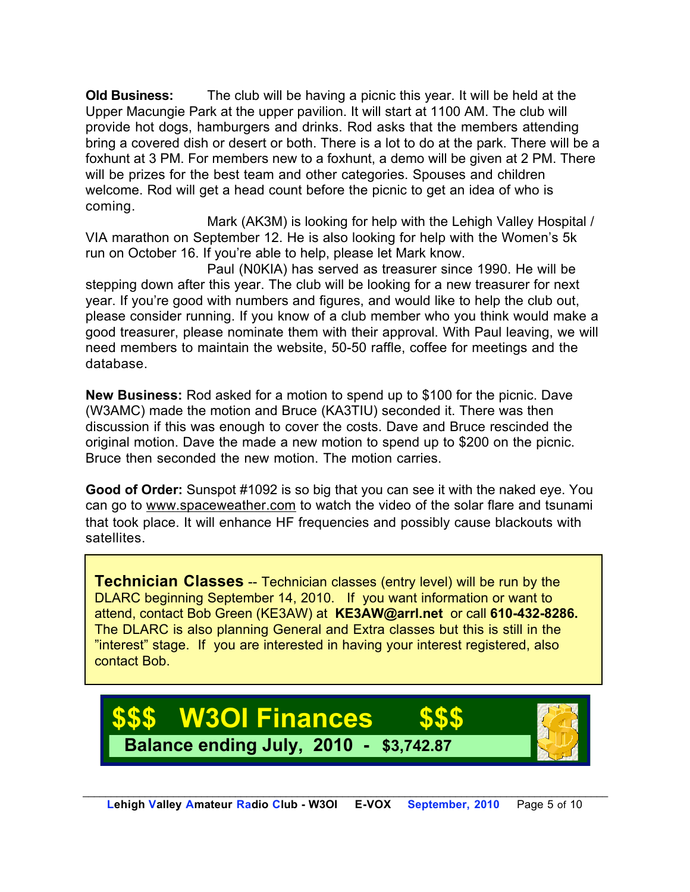**Old Business:** The club will be having a picnic this year. It will be held at the Upper Macungie Park at the upper pavilion. It will start at 1100 AM. The club will provide hot dogs, hamburgers and drinks. Rod asks that the members attending bring a covered dish or desert or both. There is a lot to do at the park. There will be a foxhunt at 3 PM. For members new to a foxhunt, a demo will be given at 2 PM. There will be prizes for the best team and other categories. Spouses and children welcome. Rod will get a head count before the picnic to get an idea of who is coming.

Mark (AK3M) is looking for help with the Lehigh Valley Hospital / VIA marathon on September 12. He is also looking for help with the Women's 5k run on October 16. If you're able to help, please let Mark know.

Paul (N0KIA) has served as treasurer since 1990. He will be stepping down after this year. The club will be looking for a new treasurer for next year. If you're good with numbers and figures, and would like to help the club out, please consider running. If you know of a club member who you think would make a good treasurer, please nominate them with their approval. With Paul leaving, we will need members to maintain the website, 50-50 raffle, coffee for meetings and the database.

**New Business:** Rod asked for a motion to spend up to \$100 for the picnic. Dave (W3AMC) made the motion and Bruce (KA3TIU) seconded it. There was then discussion if this was enough to cover the costs. Dave and Bruce rescinded the original motion. Dave the made a new motion to spend up to \$200 on the picnic. Bruce then seconded the new motion. The motion carries.

**Good of Order:** Sunspot #1092 is so big that you can see it with the naked eye. You can go to www.spaceweather.com to watch the video of the solar flare and tsunami that took place. It will enhance HF frequencies and possibly cause blackouts with satellites.

**Technician Classes** -- Technician classes (entry level) will be run by the DLARC beginning September 14, 2010. If you want information or want to attend, contact Bob Green (KE3AW) at **KE3AW@arrl.net** or call **610-432-8286.** The DLARC is also planning General and Extra classes but this is still in the "interest" stage. If you are interested in having your interest registered, also contact Bob.

# **W3OI Finances Balance ending July, 2010 - \$3,742.87**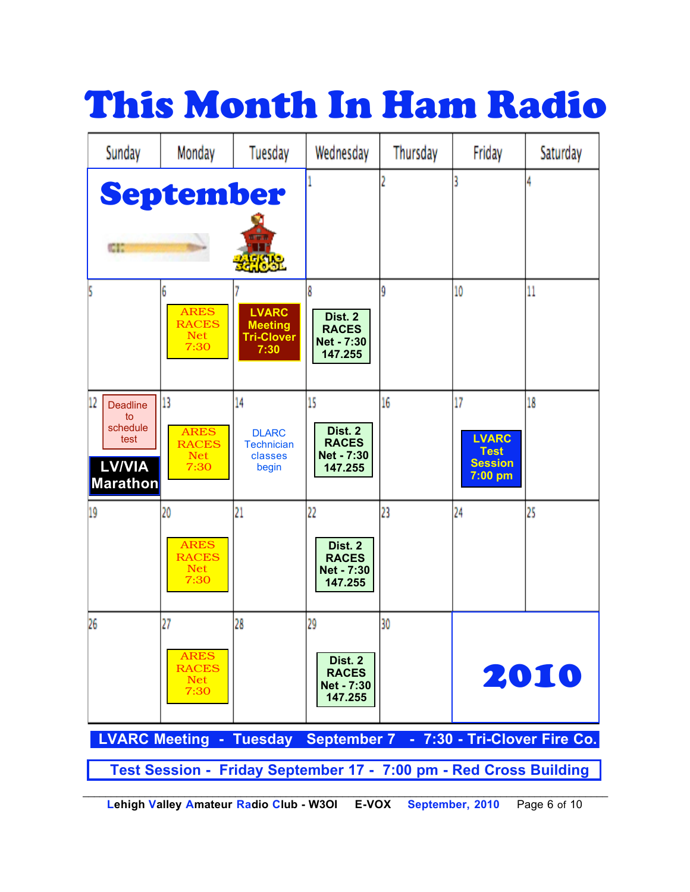# This Month In Ham Radio

| Sunday                                                                              | Monday                                                  | Tuesday                                                     | Wednesday                                              | Thursday | Friday                                                         | Saturday |
|-------------------------------------------------------------------------------------|---------------------------------------------------------|-------------------------------------------------------------|--------------------------------------------------------|----------|----------------------------------------------------------------|----------|
| œ                                                                                   | September                                               |                                                             |                                                        |          |                                                                |          |
|                                                                                     | 6<br><b>ARES</b><br><b>RACES</b><br><b>Net</b><br>7:30  | <b>LVARC</b><br><b>Meeting</b><br><b>Tri-Clover</b><br>7:30 | 8<br>Dist. 2<br><b>RACES</b><br>Net - 7:30<br>147.255  | ŷ        | 10                                                             | 11       |
| 12<br><b>Deadline</b><br>to<br>schedule<br>test<br><b>LV/VIA</b><br><b>Marathon</b> | 13<br><b>ARES</b><br><b>RACES</b><br><b>Net</b><br>7:30 | 14<br><b>DLARC</b><br><b>Technician</b><br>classes<br>begin | 15<br>Dist. 2<br><b>RACES</b><br>Net - 7:30<br>147.255 | 16       | 17<br><b>LVARC</b><br><b>Test</b><br><b>Session</b><br>7:00 pm | 18       |
| 19                                                                                  | 20<br><b>ARES</b><br><b>RACES</b><br><b>Net</b><br>7:30 | 21                                                          | 22<br>Dist. 2<br><b>RACES</b><br>Net - 7:30<br>147.255 | 23       | 24                                                             | 25       |
| 26                                                                                  | 27<br><b>ARES</b><br><b>RACES</b><br><b>Net</b><br>7:30 | 28                                                          | 29<br>Dist. 2<br><b>RACES</b><br>Net - 7:30<br>147.255 | 30       |                                                                | 2010     |
| LVARC Meeting - Tuesday September 7 - 7:30 - Tri-Clover Fire Co.                    |                                                         |                                                             |                                                        |          |                                                                |          |
| Test Session - Friday September 17 - 7:00 pm - Red Cross Building                   |                                                         |                                                             |                                                        |          |                                                                |          |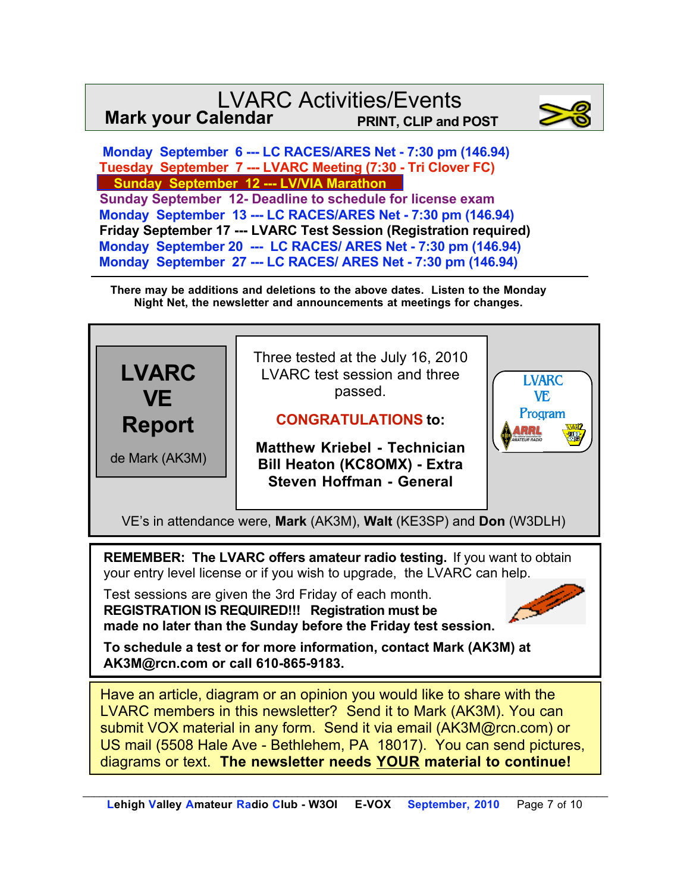### LVARC Activities/Events **Mark your Calendar PRINT, CLIP and POST**



 **Monday September 6 --- LC RACES/ARES Net - 7:30 pm (146.94) Tuesday September 7 --- LVARC Meeting (7:30 - Tri Clover FC) Sunday September 12 --- LV/VIA Marathon Sunday September 12- Deadline to schedule for license exam Monday September 13 --- LC RACES/ARES Net - 7:30 pm (146.94) Friday September 17 --- LVARC Test Session (Registration required) Monday September 20 --- LC RACES/ ARES Net - 7:30 pm (146.94) Monday September 27 --- LC RACES/ ARES Net - 7:30 pm (146.94)**

**There may be additions and deletions to the above dates. Listen to the Monday Night Net, the newsletter and announcements at meetings for changes.**



LVARC members in this newsletter? Send it to Mark (AK3M). You can submit VOX material in any form. Send it via email (AK3M@rcn.com) or US mail (5508 Hale Ave - Bethlehem, PA 18017). You can send pictures, diagrams or text. **The newsletter needs YOUR material to continue!**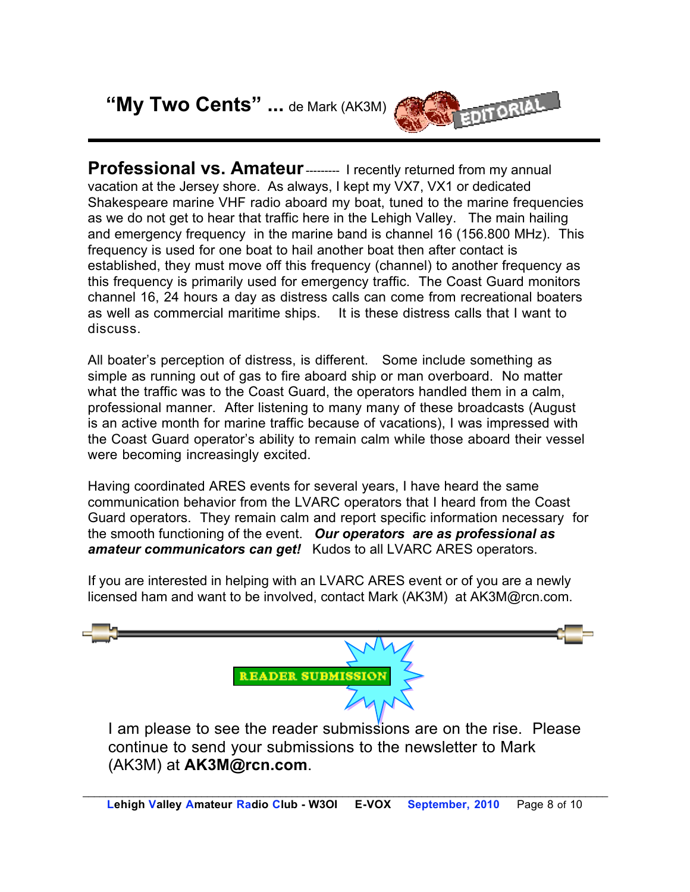**"My Two Cents" ...** de Mark (AK3M)



**Professional vs. Amateur** --------- I recently returned from my annual vacation at the Jersey shore. As always, I kept my VX7, VX1 or dedicated Shakespeare marine VHF radio aboard my boat, tuned to the marine frequencies as we do not get to hear that traffic here in the Lehigh Valley. The main hailing and emergency frequency in the marine band is channel 16 (156.800 MHz). This frequency is used for one boat to hail another boat then after contact is established, they must move off this frequency (channel) to another frequency as this frequency is primarily used for emergency traffic. The Coast Guard monitors channel 16, 24 hours a day as distress calls can come from recreational boaters as well as commercial maritime ships. It is these distress calls that I want to discuss.

All boater's perception of distress, is different. Some include something as simple as running out of gas to fire aboard ship or man overboard. No matter what the traffic was to the Coast Guard, the operators handled them in a calm, professional manner. After listening to many many of these broadcasts (August is an active month for marine traffic because of vacations), I was impressed with the Coast Guard operator's ability to remain calm while those aboard their vessel were becoming increasingly excited.

Having coordinated ARES events for several years, I have heard the same communication behavior from the LVARC operators that I heard from the Coast Guard operators. They remain calm and report specific information necessary for the smooth functioning of the event. *Our operators are as professional as amateur communicators can get!* Kudos to all LVARC ARES operators.

If you are interested in helping with an LVARC ARES event or of you are a newly licensed ham and want to be involved, contact Mark (AK3M) at AK3M@rcn.com.



continue to send your submissions to the newsletter to Mark (AK3M) at **AK3M@rcn.com**.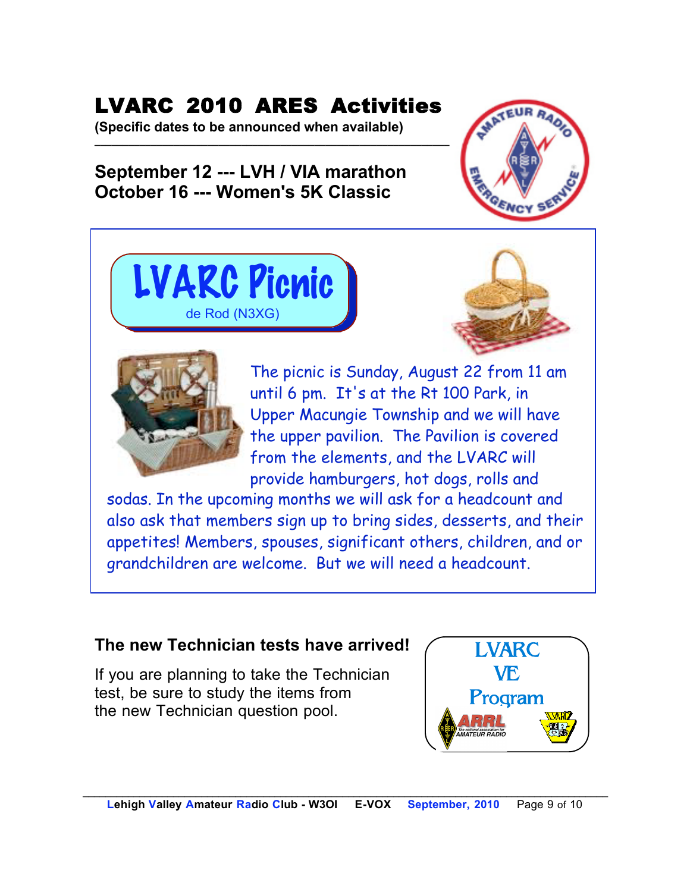# LVARC 2010 ARES Activities

**(Specific dates to be announced when available) \_\_\_\_\_\_\_\_\_\_\_\_\_\_\_\_\_\_\_\_\_\_\_\_\_\_\_\_\_\_\_\_\_\_\_\_\_\_\_\_\_\_\_\_\_\_\_\_\_\_\_\_\_\_\_\_\_\_\_\_\_\_\_**

## **September 12 --- LVH / VIA marathon October 16 --- Women's 5K Classic**









The picnic is Sunday, August 22 from 11 am until 6 pm. It's at the Rt 100 Park, in Upper Macungie Township and we will have the upper pavilion. The Pavilion is covered from the elements, and the LVARC will provide hamburgers, hot dogs, rolls and

sodas. In the upcoming months we will ask for a headcount and also ask that members sign up to bring sides, desserts, and their appetites! Members, spouses, significant others, children, and or grandchildren are welcome. But we will need a headcount.

## **The new Technician tests have arrived!**

If you are planning to take the Technician test, be sure to study the items from the new Technician question pool.